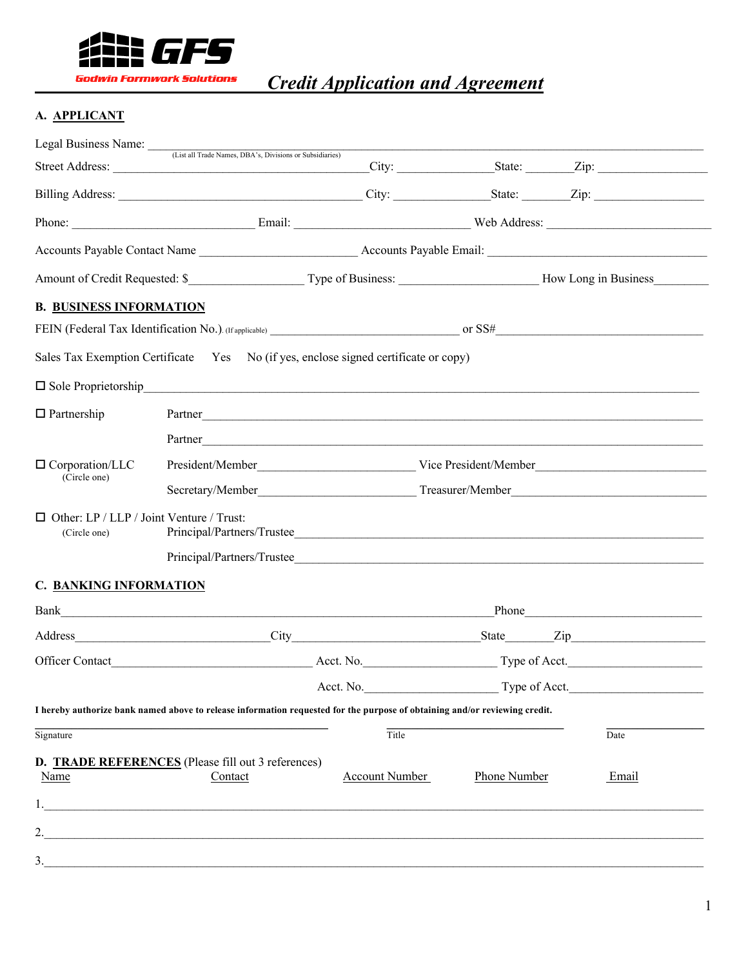

*Credit Application and Agreement*

# **A. APPLICANT**

|       |                                    | City: State: Zip:                                                                                                                                                                                                                                                                                                                                                                                                                                                                                                                                                                                                                                                                                                                           |
|-------|------------------------------------|---------------------------------------------------------------------------------------------------------------------------------------------------------------------------------------------------------------------------------------------------------------------------------------------------------------------------------------------------------------------------------------------------------------------------------------------------------------------------------------------------------------------------------------------------------------------------------------------------------------------------------------------------------------------------------------------------------------------------------------------|
|       |                                    |                                                                                                                                                                                                                                                                                                                                                                                                                                                                                                                                                                                                                                                                                                                                             |
|       |                                    |                                                                                                                                                                                                                                                                                                                                                                                                                                                                                                                                                                                                                                                                                                                                             |
|       |                                    |                                                                                                                                                                                                                                                                                                                                                                                                                                                                                                                                                                                                                                                                                                                                             |
|       |                                    |                                                                                                                                                                                                                                                                                                                                                                                                                                                                                                                                                                                                                                                                                                                                             |
|       |                                    |                                                                                                                                                                                                                                                                                                                                                                                                                                                                                                                                                                                                                                                                                                                                             |
|       |                                    |                                                                                                                                                                                                                                                                                                                                                                                                                                                                                                                                                                                                                                                                                                                                             |
|       |                                    |                                                                                                                                                                                                                                                                                                                                                                                                                                                                                                                                                                                                                                                                                                                                             |
|       |                                    |                                                                                                                                                                                                                                                                                                                                                                                                                                                                                                                                                                                                                                                                                                                                             |
|       |                                    |                                                                                                                                                                                                                                                                                                                                                                                                                                                                                                                                                                                                                                                                                                                                             |
|       |                                    |                                                                                                                                                                                                                                                                                                                                                                                                                                                                                                                                                                                                                                                                                                                                             |
|       |                                    |                                                                                                                                                                                                                                                                                                                                                                                                                                                                                                                                                                                                                                                                                                                                             |
|       |                                    |                                                                                                                                                                                                                                                                                                                                                                                                                                                                                                                                                                                                                                                                                                                                             |
|       |                                    |                                                                                                                                                                                                                                                                                                                                                                                                                                                                                                                                                                                                                                                                                                                                             |
|       |                                    |                                                                                                                                                                                                                                                                                                                                                                                                                                                                                                                                                                                                                                                                                                                                             |
|       |                                    |                                                                                                                                                                                                                                                                                                                                                                                                                                                                                                                                                                                                                                                                                                                                             |
|       |                                    |                                                                                                                                                                                                                                                                                                                                                                                                                                                                                                                                                                                                                                                                                                                                             |
|       |                                    | Phone Representation of the contract of the contract of the contract of the contract of the contract of the contract of the contract of the contract of the contract of the contract of the contract of the contract of the co                                                                                                                                                                                                                                                                                                                                                                                                                                                                                                              |
|       |                                    |                                                                                                                                                                                                                                                                                                                                                                                                                                                                                                                                                                                                                                                                                                                                             |
|       |                                    |                                                                                                                                                                                                                                                                                                                                                                                                                                                                                                                                                                                                                                                                                                                                             |
|       | Type of Acct.                      |                                                                                                                                                                                                                                                                                                                                                                                                                                                                                                                                                                                                                                                                                                                                             |
|       |                                    |                                                                                                                                                                                                                                                                                                                                                                                                                                                                                                                                                                                                                                                                                                                                             |
| Title |                                    | Date                                                                                                                                                                                                                                                                                                                                                                                                                                                                                                                                                                                                                                                                                                                                        |
|       | <b>Phone Number</b>                | Email                                                                                                                                                                                                                                                                                                                                                                                                                                                                                                                                                                                                                                                                                                                                       |
|       |                                    |                                                                                                                                                                                                                                                                                                                                                                                                                                                                                                                                                                                                                                                                                                                                             |
|       |                                    |                                                                                                                                                                                                                                                                                                                                                                                                                                                                                                                                                                                                                                                                                                                                             |
|       |                                    |                                                                                                                                                                                                                                                                                                                                                                                                                                                                                                                                                                                                                                                                                                                                             |
|       | Acct. No.<br><b>Account Number</b> | Sales Tax Exemption Certificate Yes No (if yes, enclose signed certificate or copy)<br>□ Sole Proprietorship<br>Partner Partner and the contract of the contract of the contract of the contract of the contract of the contract of the contract of the contract of the contract of the contract of the contract of the contract of the contra<br>Partner and a contract of the contract of the contract of the contract of the contract of the contract of the contract of the contract of the contract of the contract of the contract of the contract of the contract of the<br>Principal/Partners/Trustee<br>I hereby authorize bank named above to release information requested for the purpose of obtaining and/or reviewing credit. |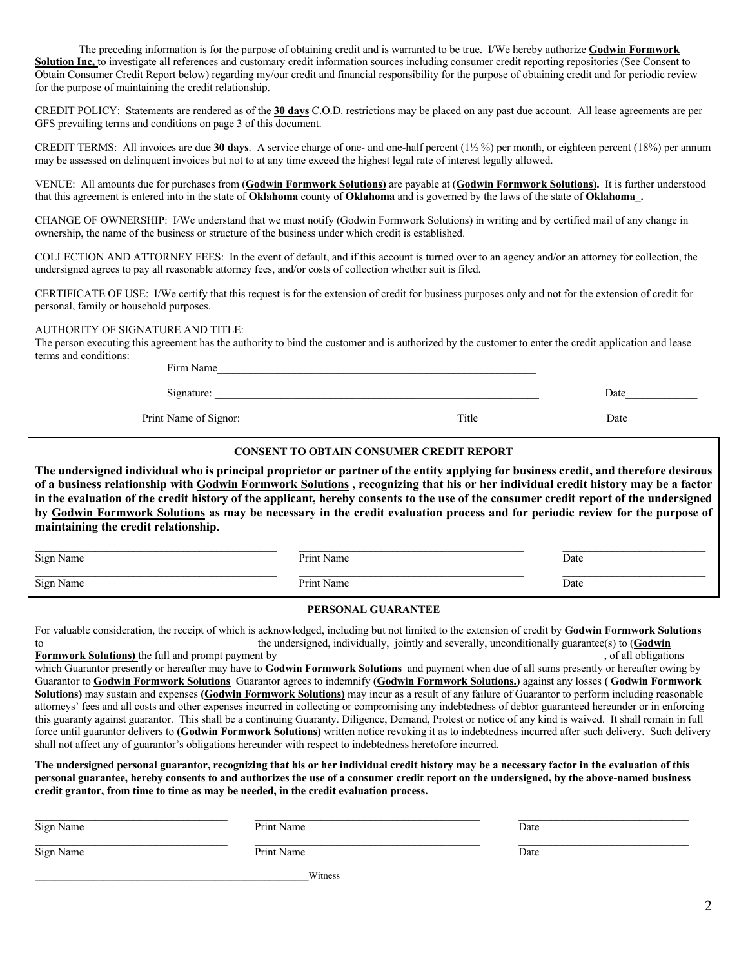The preceding information is for the purpose of obtaining credit and is warranted to be true. I/We hereby authorize **Godwin Formwork Solution Inc,** to investigate all references and customary credit information sources including consumer credit reporting repositories (See Consent to Obtain Consumer Credit Report below) regarding my/our credit and financial responsibility for the purpose of obtaining credit and for periodic review for the purpose of maintaining the credit relationship.

CREDIT POLICY: Statements are rendered as of the **30 days** C.O.D. restrictions may be placed on any past due account. All lease agreements are per GFS prevailing terms and conditions on page 3 of this document.

CREDIT TERMS: All invoices are due **30 days**. A service charge of one- and one-half percent (1½ %) per month, or eighteen percent (18%) per annum may be assessed on delinquent invoices but not to at any time exceed the highest legal rate of interest legally allowed.

VENUE: All amounts due for purchases from (**Godwin Formwork Solutions)** are payable at (**Godwin Formwork Solutions).** It is further understood that this agreement is entered into in the state of **Oklahoma** county of **Oklahoma** and is governed by the laws of the state of **Oklahoma\_.**

CHANGE OF OWNERSHIP: I/We understand that we must notify (Godwin Formwork Solutions) in writing and by certified mail of any change in ownership, the name of the business or structure of the business under which credit is established.

COLLECTION AND ATTORNEY FEES: In the event of default, and if this account is turned over to an agency and/or an attorney for collection, the undersigned agrees to pay all reasonable attorney fees, and/or costs of collection whether suit is filed.

CERTIFICATE OF USE: I/We certify that this request is for the extension of credit for business purposes only and not for the extension of credit for personal, family or household purposes.

## AUTHORITY OF SIGNATURE AND TITLE:

The person executing this agreement has the authority to bind the customer and is authorized by the customer to enter the credit application and lease terms and conditions:

> Firm Name Signature: \_\_\_\_\_\_\_\_\_\_\_\_\_\_\_\_\_\_\_\_\_\_\_\_\_\_\_\_\_\_\_\_\_\_\_\_\_\_\_\_\_\_\_\_\_\_\_\_\_\_\_\_\_\_\_\_\_\_\_ Date\_\_\_\_\_\_\_\_\_\_\_\_\_ Print Name of Signor: <br>
> Title Date

#### **CONSENT TO OBTAIN CONSUMER CREDIT REPORT**

**The undersigned individual who is principal proprietor or partner of the entity applying for business credit, and therefore desirous of a business relationship with Godwin Formwork Solutions , recognizing that his or her individual credit history may be a factor in the evaluation of the credit history of the applicant, hereby consents to the use of the consumer credit report of the undersigned by Godwin Formwork Solutions as may be necessary in the credit evaluation process and for periodic review for the purpose of maintaining the credit relationship.**

| Sign Name | Print Name | Date |
|-----------|------------|------|
| Sign Name | '∤rım      |      |
|           | Name       | Date |
| $\circ$   |            |      |

### **PERSONAL GUARANTEE**

For valuable consideration, the receipt of which is acknowledged, including but not limited to the extension of credit by **Godwin Formwork Solutions** to to the undersigned, individually, jointly and severally, unconditionally guarantee(s) to (**Godwin**<br>Formwork Solutions) the full and prompt payment by

**Formwork Solutions)** the full and prompt payment by which Guarantor presently or hereafter may have to **Godwin Formwork Solutions** and payment when due of all sums presently or hereafter owing by Guarantor to **Godwin Formwork Solutions** Guarantor agrees to indemnify **(Godwin Formwork Solutions.)** against any losses **( Godwin Formwork Solutions)** may sustain and expenses **(Godwin Formwork Solutions)** may incur as a result of any failure of Guarantor to perform including reasonable attorneys' fees and all costs and other expenses incurred in collecting or compromising any indebtedness of debtor guaranteed hereunder or in enforcing this guaranty against guarantor. This shall be a continuing Guaranty. Diligence, Demand, Protest or notice of any kind is waived. It shall remain in full force until guarantor delivers to **(Godwin Formwork Solutions)** written notice revoking it as to indebtedness incurred after such delivery. Such delivery shall not affect any of guarantor's obligations hereunder with respect to indebtedness heretofore incurred.

**The undersigned personal guarantor, recognizing that his or her individual credit history may be a necessary factor in the evaluation of this personal guarantee, hereby consents to and authorizes the use of a consumer credit report on the undersigned, by the above-named business credit grantor, from time to time as may be needed, in the credit evaluation process.**

| Sign Name | Print Name | Date |  |
|-----------|------------|------|--|
| Sign Name | Print Name | Date |  |
| Witness   |            |      |  |

2